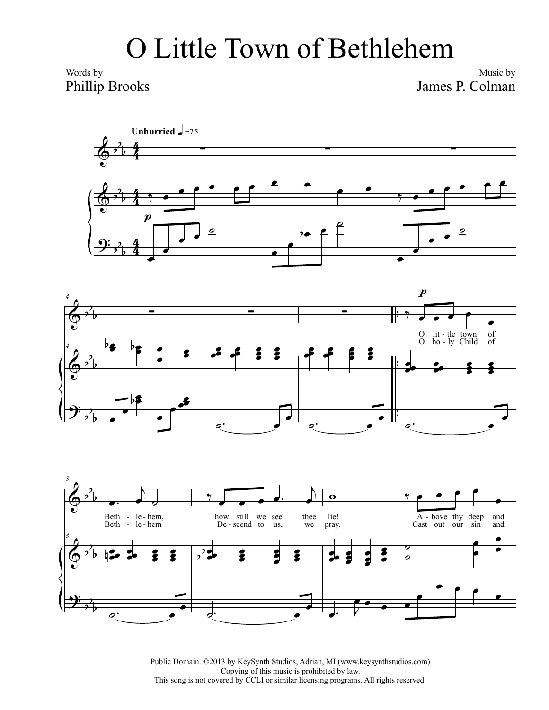## O Little Town of Bethlehem

Words by Phillip Brooks

Music by James P. Colman







Public Domain. ©2013 by KeySynth Studios, Adrian, MI (www.keysynthstudios.com) Copying of this music is prohibited by law. This song is not covered by CCLI or similar licensing programs. All rights reserved.